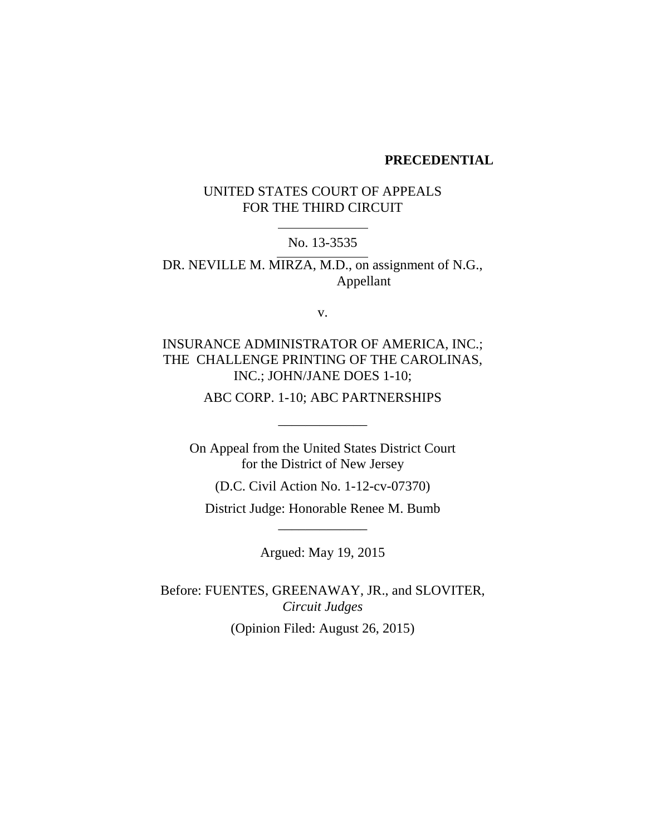#### **PRECEDENTIAL**

# UNITED STATES COURT OF APPEALS FOR THE THIRD CIRCUIT

No. 13-3535

DR. NEVILLE M. MIRZA, M.D., on assignment of N.G., Appellant

v.

# INSURANCE ADMINISTRATOR OF AMERICA, INC.; THE CHALLENGE PRINTING OF THE CAROLINAS, INC.; JOHN/JANE DOES 1-10;

ABC CORP. 1-10; ABC PARTNERSHIPS

\_\_\_\_\_\_\_\_\_\_\_\_\_

On Appeal from the United States District Court for the District of New Jersey

(D.C. Civil Action No. 1-12-cv-07370)

District Judge: Honorable Renee M. Bumb \_\_\_\_\_\_\_\_\_\_\_\_\_

Argued: May 19, 2015

Before: FUENTES, GREENAWAY, JR., and SLOVITER, *Circuit Judges* (Opinion Filed: August 26, 2015)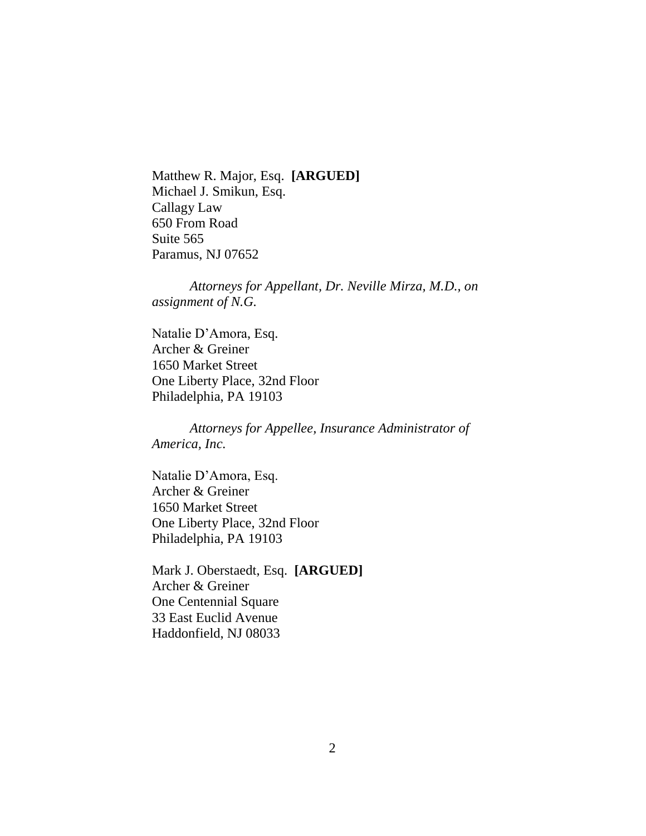Matthew R. Major, Esq. **[ARGUED]** Michael J. Smikun, Esq. Callagy Law 650 From Road Suite 565 Paramus, NJ 07652

*Attorneys for Appellant, Dr. Neville Mirza, M.D., on assignment of N.G.*

Natalie D'Amora, Esq. Archer & Greiner 1650 Market Street One Liberty Place, 32nd Floor Philadelphia, PA 19103

*Attorneys for Appellee, Insurance Administrator of America, Inc.*

Natalie D'Amora, Esq. Archer & Greiner 1650 Market Street One Liberty Place, 32nd Floor Philadelphia, PA 19103

Mark J. Oberstaedt, Esq. **[ARGUED]** Archer & Greiner One Centennial Square 33 East Euclid Avenue Haddonfield, NJ 08033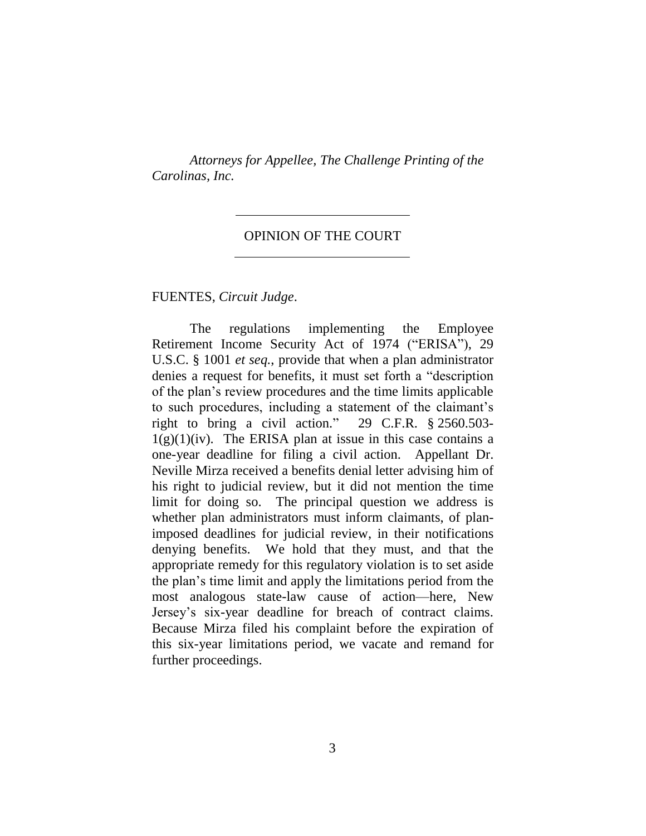*Attorneys for Appellee, The Challenge Printing of the Carolinas, Inc.*

#### OPINION OF THE COURT

FUENTES, *Circuit Judge*.

The regulations implementing the Employee Retirement Income Security Act of 1974 ("ERISA"), 29 U.S.C. § 1001 *et seq.*, provide that when a plan administrator denies a request for benefits, it must set forth a "description of the plan's review procedures and the time limits applicable to such procedures, including a statement of the claimant's right to bring a civil action." 29 C.F.R. § 2560.503-  $1(g)(1)(iv)$ . The ERISA plan at issue in this case contains a one-year deadline for filing a civil action. Appellant Dr. Neville Mirza received a benefits denial letter advising him of his right to judicial review, but it did not mention the time limit for doing so. The principal question we address is whether plan administrators must inform claimants, of planimposed deadlines for judicial review, in their notifications denying benefits. We hold that they must, and that the appropriate remedy for this regulatory violation is to set aside the plan's time limit and apply the limitations period from the most analogous state-law cause of action—here, New Jersey's six-year deadline for breach of contract claims. Because Mirza filed his complaint before the expiration of this six-year limitations period, we vacate and remand for further proceedings.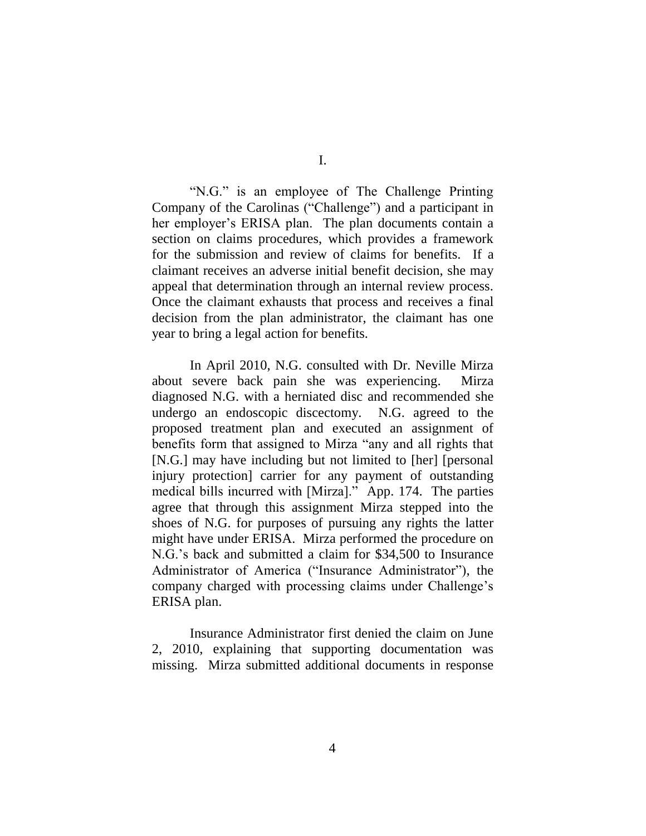"N.G." is an employee of The Challenge Printing Company of the Carolinas ("Challenge") and a participant in her employer's ERISA plan. The plan documents contain a section on claims procedures, which provides a framework for the submission and review of claims for benefits. If a claimant receives an adverse initial benefit decision, she may appeal that determination through an internal review process. Once the claimant exhausts that process and receives a final decision from the plan administrator, the claimant has one year to bring a legal action for benefits.

In April 2010, N.G. consulted with Dr. Neville Mirza about severe back pain she was experiencing. Mirza diagnosed N.G. with a herniated disc and recommended she undergo an endoscopic discectomy. N.G. agreed to the proposed treatment plan and executed an assignment of benefits form that assigned to Mirza "any and all rights that [N.G.] may have including but not limited to [her] [personal injury protection] carrier for any payment of outstanding medical bills incurred with [Mirza]." App. 174. The parties agree that through this assignment Mirza stepped into the shoes of N.G. for purposes of pursuing any rights the latter might have under ERISA. Mirza performed the procedure on N.G.'s back and submitted a claim for \$34,500 to Insurance Administrator of America ("Insurance Administrator"), the company charged with processing claims under Challenge's ERISA plan.

Insurance Administrator first denied the claim on June 2, 2010, explaining that supporting documentation was missing. Mirza submitted additional documents in response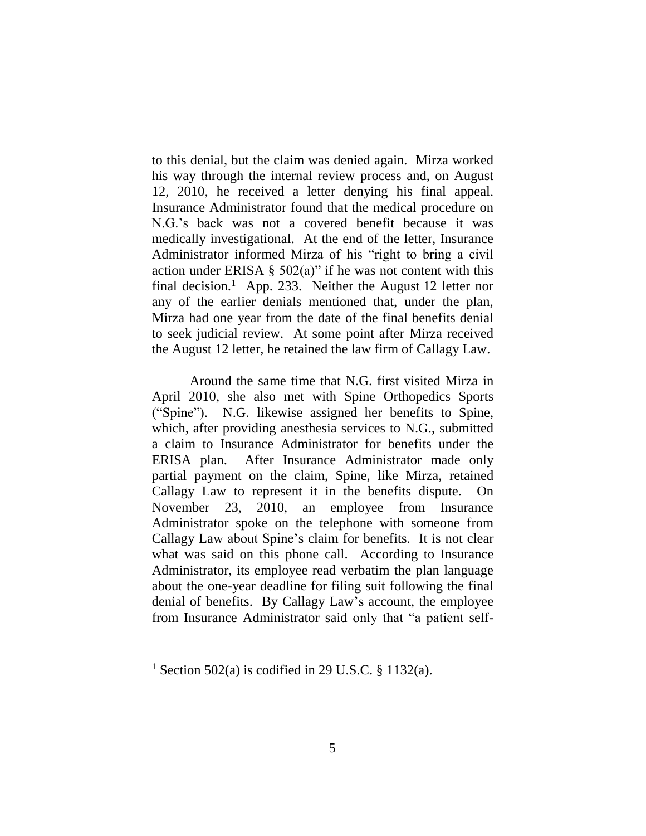to this denial, but the claim was denied again. Mirza worked his way through the internal review process and, on August 12, 2010, he received a letter denying his final appeal. Insurance Administrator found that the medical procedure on N.G.'s back was not a covered benefit because it was medically investigational. At the end of the letter, Insurance Administrator informed Mirza of his "right to bring a civil action under ERISA §  $502(a)$ " if he was not content with this final decision.<sup>1</sup> App. 233. Neither the August 12 letter nor any of the earlier denials mentioned that, under the plan, Mirza had one year from the date of the final benefits denial to seek judicial review. At some point after Mirza received the August 12 letter, he retained the law firm of Callagy Law.

Around the same time that N.G. first visited Mirza in April 2010, she also met with Spine Orthopedics Sports ("Spine"). N.G. likewise assigned her benefits to Spine, which, after providing anesthesia services to N.G., submitted a claim to Insurance Administrator for benefits under the ERISA plan. After Insurance Administrator made only partial payment on the claim, Spine, like Mirza, retained Callagy Law to represent it in the benefits dispute. On November 23, 2010, an employee from Insurance Administrator spoke on the telephone with someone from Callagy Law about Spine's claim for benefits. It is not clear what was said on this phone call. According to Insurance Administrator, its employee read verbatim the plan language about the one-year deadline for filing suit following the final denial of benefits. By Callagy Law's account, the employee from Insurance Administrator said only that "a patient self-

<sup>&</sup>lt;sup>1</sup> Section 502(a) is codified in 29 U.S.C. § 1132(a).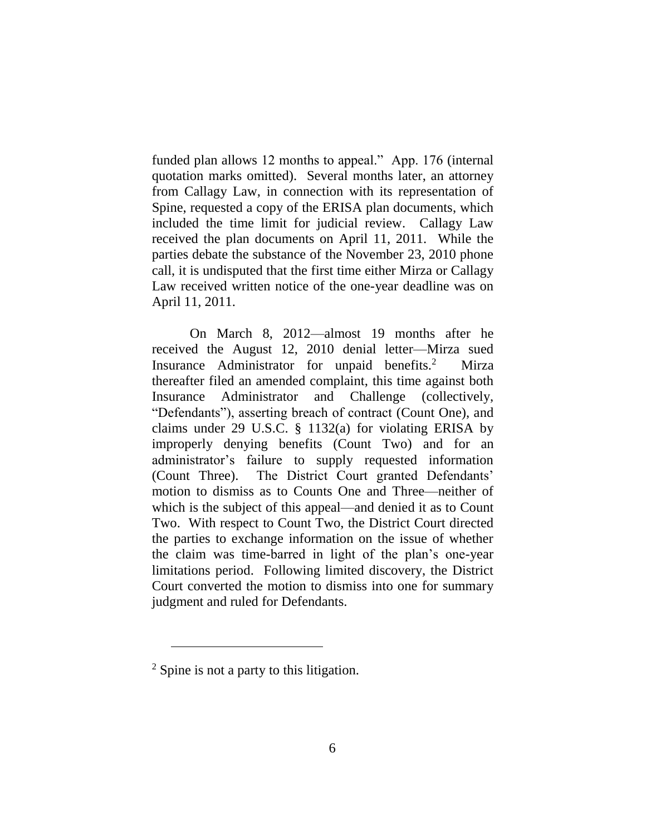funded plan allows 12 months to appeal." App. 176 (internal quotation marks omitted). Several months later, an attorney from Callagy Law, in connection with its representation of Spine, requested a copy of the ERISA plan documents, which included the time limit for judicial review. Callagy Law received the plan documents on April 11, 2011. While the parties debate the substance of the November 23, 2010 phone call, it is undisputed that the first time either Mirza or Callagy Law received written notice of the one-year deadline was on April 11, 2011.

On March 8, 2012—almost 19 months after he received the August 12, 2010 denial letter—Mirza sued Insurance Administrator for unpaid benefits.<sup>2</sup> Mirza thereafter filed an amended complaint, this time against both Insurance Administrator and Challenge (collectively, "Defendants"), asserting breach of contract (Count One), and claims under 29 U.S.C. § 1132(a) for violating ERISA by improperly denying benefits (Count Two) and for an administrator's failure to supply requested information (Count Three). The District Court granted Defendants' motion to dismiss as to Counts One and Three—neither of which is the subject of this appeal—and denied it as to Count Two. With respect to Count Two, the District Court directed the parties to exchange information on the issue of whether the claim was time-barred in light of the plan's one-year limitations period. Following limited discovery, the District Court converted the motion to dismiss into one for summary judgment and ruled for Defendants.

<sup>2</sup> Spine is not a party to this litigation.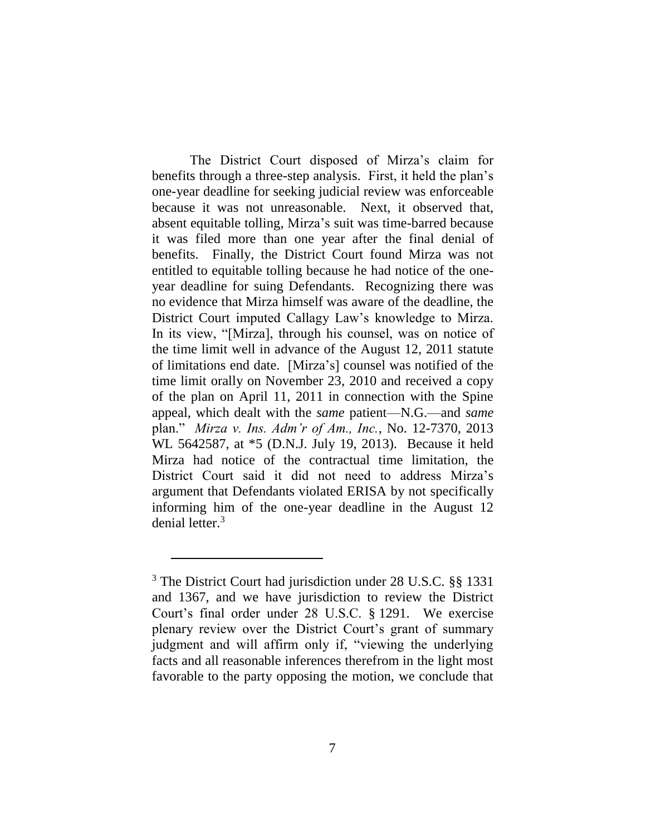The District Court disposed of Mirza's claim for benefits through a three-step analysis. First, it held the plan's one-year deadline for seeking judicial review was enforceable because it was not unreasonable. Next, it observed that, absent equitable tolling, Mirza's suit was time-barred because it was filed more than one year after the final denial of benefits. Finally, the District Court found Mirza was not entitled to equitable tolling because he had notice of the oneyear deadline for suing Defendants. Recognizing there was no evidence that Mirza himself was aware of the deadline, the District Court imputed Callagy Law's knowledge to Mirza. In its view, "[Mirza], through his counsel, was on notice of the time limit well in advance of the August 12, 2011 statute of limitations end date. [Mirza's] counsel was notified of the time limit orally on November 23, 2010 and received a copy of the plan on April 11, 2011 in connection with the Spine appeal, which dealt with the *same* patient—N.G.—and *same* plan." *Mirza v. Ins. Adm'r of Am., Inc.*, No. 12-7370, 2013 WL 5642587, at \*5 (D.N.J. July 19, 2013). Because it held Mirza had notice of the contractual time limitation, the District Court said it did not need to address Mirza's argument that Defendants violated ERISA by not specifically informing him of the one-year deadline in the August 12 denial letter.<sup>3</sup>

<sup>3</sup> The District Court had jurisdiction under 28 U.S.C. §§ 1331 and 1367, and we have jurisdiction to review the District Court's final order under 28 U.S.C. § 1291. We exercise plenary review over the District Court's grant of summary judgment and will affirm only if, "viewing the underlying facts and all reasonable inferences therefrom in the light most favorable to the party opposing the motion, we conclude that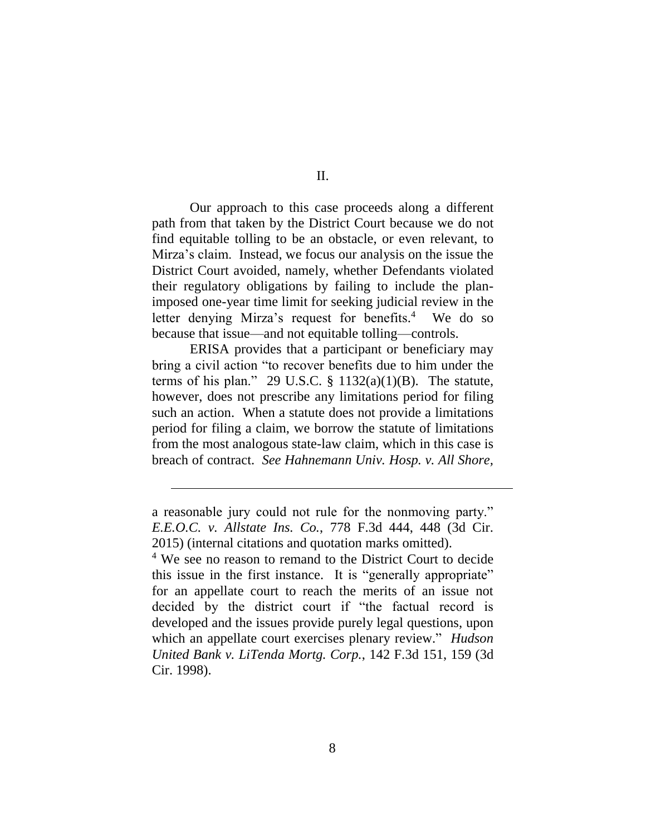Our approach to this case proceeds along a different path from that taken by the District Court because we do not find equitable tolling to be an obstacle, or even relevant, to Mirza's claim. Instead, we focus our analysis on the issue the District Court avoided, namely, whether Defendants violated their regulatory obligations by failing to include the planimposed one-year time limit for seeking judicial review in the letter denying Mirza's request for benefits.<sup>4</sup> We do so because that issue—and not equitable tolling—controls.

ERISA provides that a participant or beneficiary may bring a civil action "to recover benefits due to him under the terms of his plan." 29 U.S.C.  $\S$  1132(a)(1)(B). The statute, however, does not prescribe any limitations period for filing such an action. When a statute does not provide a limitations period for filing a claim, we borrow the statute of limitations from the most analogous state-law claim, which in this case is breach of contract. *See Hahnemann Univ. Hosp. v. All Shore,* 

a reasonable jury could not rule for the nonmoving party." *E.E.O.C. v. Allstate Ins. Co.*, 778 F.3d 444, 448 (3d Cir. 2015) (internal citations and quotation marks omitted).

<sup>4</sup> We see no reason to remand to the District Court to decide this issue in the first instance. It is "generally appropriate" for an appellate court to reach the merits of an issue not decided by the district court if "the factual record is developed and the issues provide purely legal questions, upon which an appellate court exercises plenary review." *Hudson United Bank v. LiTenda Mortg. Corp.*, 142 F.3d 151, 159 (3d Cir. 1998).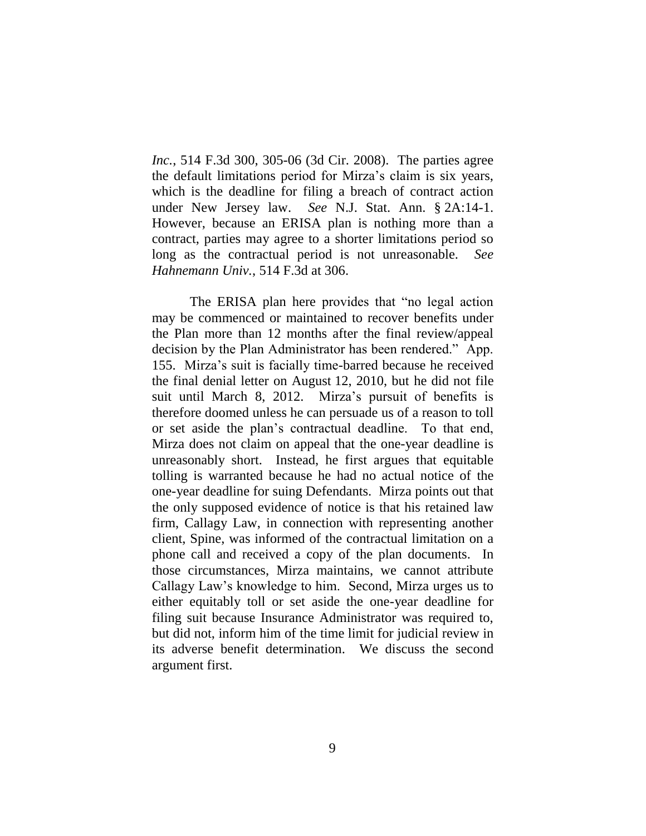*Inc.*, 514 F.3d 300, 305-06 (3d Cir. 2008). The parties agree the default limitations period for Mirza's claim is six years, which is the deadline for filing a breach of contract action under New Jersey law. *See* N.J. Stat. Ann. § 2A:14-1. However, because an ERISA plan is nothing more than a contract, parties may agree to a shorter limitations period so long as the contractual period is not unreasonable. *See Hahnemann Univ.*, 514 F.3d at 306.

The ERISA plan here provides that "no legal action may be commenced or maintained to recover benefits under the Plan more than 12 months after the final review/appeal decision by the Plan Administrator has been rendered." App. 155. Mirza's suit is facially time-barred because he received the final denial letter on August 12, 2010, but he did not file suit until March 8, 2012. Mirza's pursuit of benefits is therefore doomed unless he can persuade us of a reason to toll or set aside the plan's contractual deadline. To that end, Mirza does not claim on appeal that the one-year deadline is unreasonably short. Instead, he first argues that equitable tolling is warranted because he had no actual notice of the one-year deadline for suing Defendants. Mirza points out that the only supposed evidence of notice is that his retained law firm, Callagy Law, in connection with representing another client, Spine, was informed of the contractual limitation on a phone call and received a copy of the plan documents. In those circumstances, Mirza maintains, we cannot attribute Callagy Law's knowledge to him. Second, Mirza urges us to either equitably toll or set aside the one-year deadline for filing suit because Insurance Administrator was required to, but did not, inform him of the time limit for judicial review in its adverse benefit determination. We discuss the second argument first.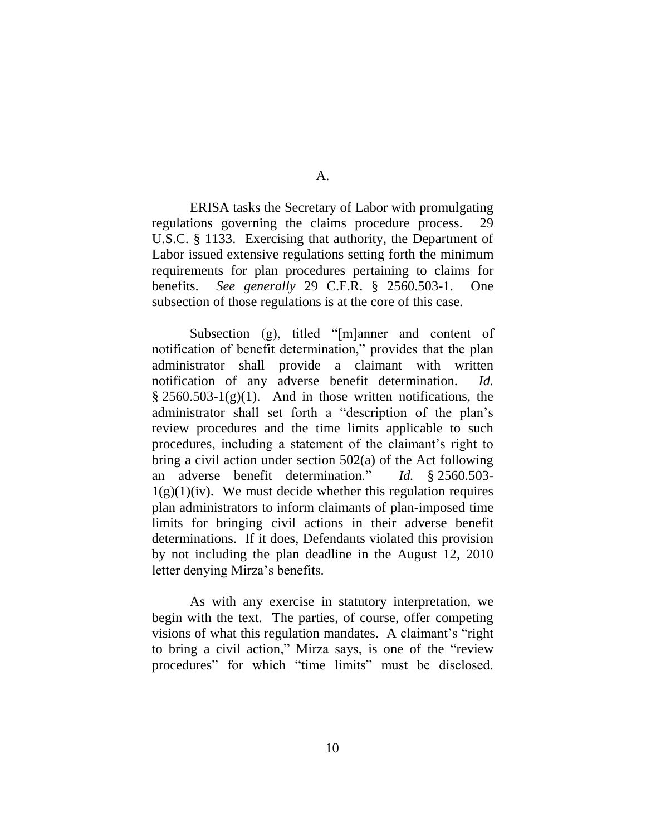ERISA tasks the Secretary of Labor with promulgating regulations governing the claims procedure process. 29 U.S.C. § 1133. Exercising that authority, the Department of Labor issued extensive regulations setting forth the minimum requirements for plan procedures pertaining to claims for benefits. *See generally* 29 C.F.R. § 2560.503-1. One subsection of those regulations is at the core of this case.

Subsection (g), titled "[m]anner and content of notification of benefit determination," provides that the plan administrator shall provide a claimant with written notification of any adverse benefit determination. *Id.*  $\S 2560.503-1(g)(1)$ . And in those written notifications, the administrator shall set forth a "description of the plan's review procedures and the time limits applicable to such procedures, including a statement of the claimant's right to bring a civil action under section 502(a) of the Act following an adverse benefit determination." *Id.* § 2560.503-  $1(g)(1)(iv)$ . We must decide whether this regulation requires plan administrators to inform claimants of plan-imposed time limits for bringing civil actions in their adverse benefit determinations. If it does, Defendants violated this provision by not including the plan deadline in the August 12, 2010 letter denying Mirza's benefits.

As with any exercise in statutory interpretation, we begin with the text. The parties, of course, offer competing visions of what this regulation mandates. A claimant's "right to bring a civil action," Mirza says, is one of the "review procedures" for which "time limits" must be disclosed.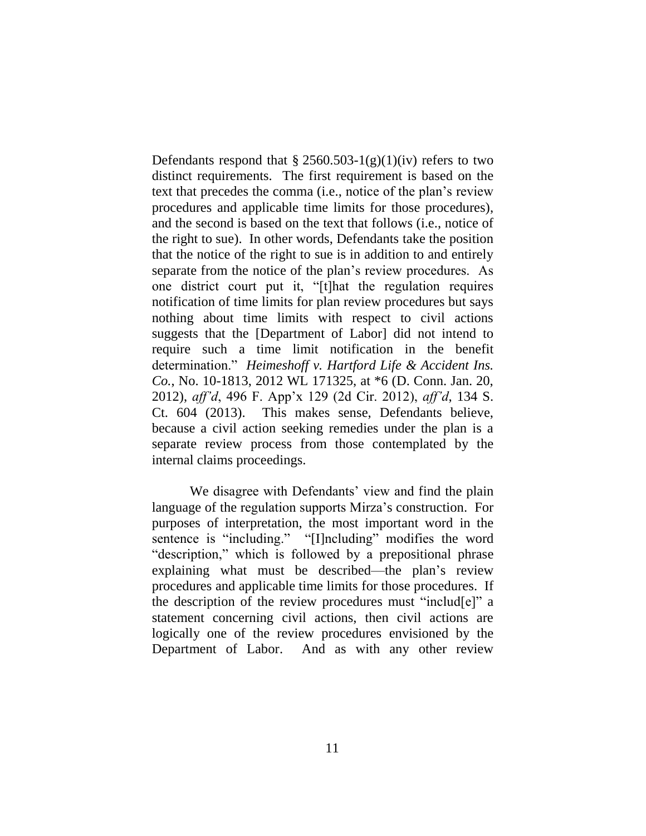Defendants respond that  $\S 2560.503-1(g)(1)(iv)$  refers to two distinct requirements. The first requirement is based on the text that precedes the comma (i.e., notice of the plan's review procedures and applicable time limits for those procedures), and the second is based on the text that follows (i.e., notice of the right to sue). In other words, Defendants take the position that the notice of the right to sue is in addition to and entirely separate from the notice of the plan's review procedures. As one district court put it, "[t]hat the regulation requires notification of time limits for plan review procedures but says nothing about time limits with respect to civil actions suggests that the [Department of Labor] did not intend to require such a time limit notification in the benefit determination." *Heimeshoff v. Hartford Life & Accident Ins. Co.*, No. 10-1813, 2012 WL 171325, at \*6 (D. Conn. Jan. 20, 2012), *aff'd*, 496 F. App'x 129 (2d Cir. 2012), *aff'd*, 134 S. Ct. 604 (2013). This makes sense, Defendants believe, because a civil action seeking remedies under the plan is a separate review process from those contemplated by the internal claims proceedings.

We disagree with Defendants' view and find the plain language of the regulation supports Mirza's construction. For purposes of interpretation, the most important word in the sentence is "including." "[I]ncluding" modifies the word "description," which is followed by a prepositional phrase explaining what must be described—the plan's review procedures and applicable time limits for those procedures. If the description of the review procedures must "includ[e]" a statement concerning civil actions, then civil actions are logically one of the review procedures envisioned by the Department of Labor. And as with any other review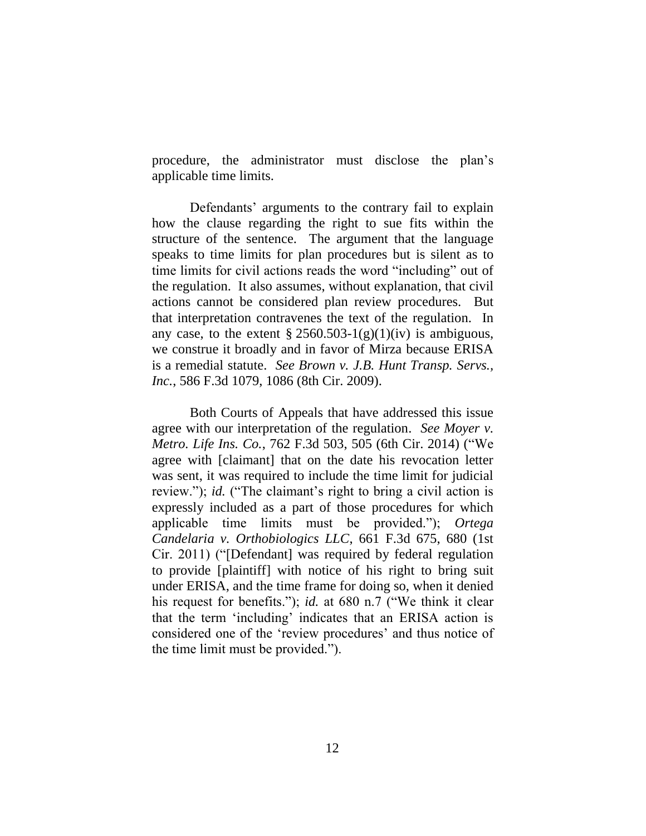procedure, the administrator must disclose the plan's applicable time limits.

Defendants' arguments to the contrary fail to explain how the clause regarding the right to sue fits within the structure of the sentence. The argument that the language speaks to time limits for plan procedures but is silent as to time limits for civil actions reads the word "including" out of the regulation. It also assumes, without explanation, that civil actions cannot be considered plan review procedures. But that interpretation contravenes the text of the regulation. In any case, to the extent  $\S 2560.503-1(g)(1)(iv)$  is ambiguous, we construe it broadly and in favor of Mirza because ERISA is a remedial statute. *See Brown v. J.B. Hunt Transp. Servs., Inc.*, 586 F.3d 1079, 1086 (8th Cir. 2009).

Both Courts of Appeals that have addressed this issue agree with our interpretation of the regulation. *See Moyer v. Metro. Life Ins. Co.*, 762 F.3d 503, 505 (6th Cir. 2014) ("We agree with [claimant] that on the date his revocation letter was sent, it was required to include the time limit for judicial review."); *id.* ("The claimant's right to bring a civil action is expressly included as a part of those procedures for which applicable time limits must be provided."); *Ortega Candelaria v. Orthobiologics LLC*, 661 F.3d 675, 680 (1st Cir. 2011) ("[Defendant] was required by federal regulation to provide [plaintiff] with notice of his right to bring suit under ERISA, and the time frame for doing so, when it denied his request for benefits."); *id.* at 680 n.7 ("We think it clear that the term 'including' indicates that an ERISA action is considered one of the 'review procedures' and thus notice of the time limit must be provided.").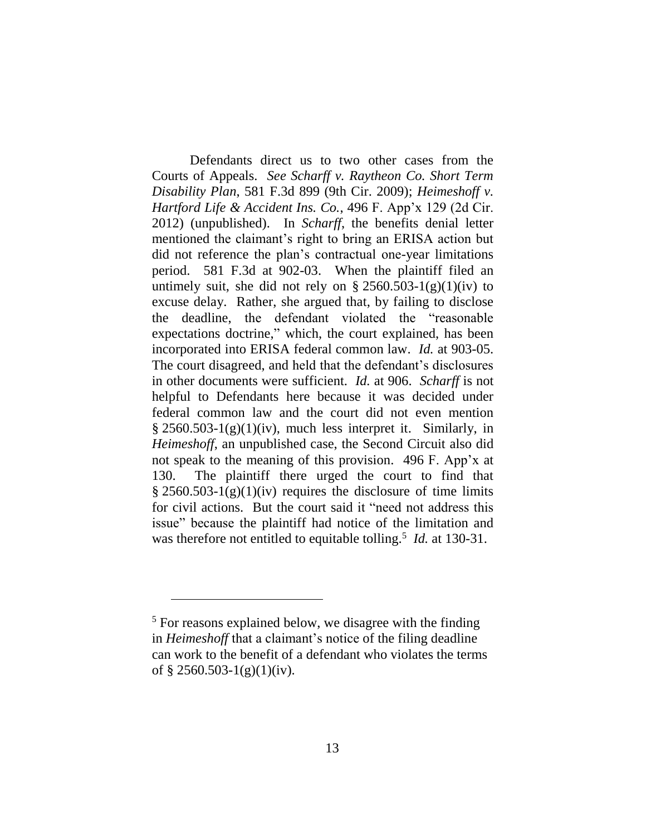Defendants direct us to two other cases from the Courts of Appeals. *See Scharff v. Raytheon Co. Short Term Disability Plan*, 581 F.3d 899 (9th Cir. 2009); *Heimeshoff v. Hartford Life & Accident Ins. Co.*, 496 F. App'x 129 (2d Cir. 2012) (unpublished). In *Scharff*, the benefits denial letter mentioned the claimant's right to bring an ERISA action but did not reference the plan's contractual one-year limitations period. 581 F.3d at 902-03. When the plaintiff filed an untimely suit, she did not rely on  $\S 2560.503-1(g)(1)(iv)$  to excuse delay. Rather, she argued that, by failing to disclose the deadline, the defendant violated the "reasonable expectations doctrine," which, the court explained, has been incorporated into ERISA federal common law. *Id.* at 903-05. The court disagreed, and held that the defendant's disclosures in other documents were sufficient. *Id.* at 906. *Scharff* is not helpful to Defendants here because it was decided under federal common law and the court did not even mention  $\S 2560.503-1(g)(1)(iv)$ , much less interpret it. Similarly, in *Heimeshoff*, an unpublished case, the Second Circuit also did not speak to the meaning of this provision. 496 F. App'x at 130. The plaintiff there urged the court to find that  $\S 2560.503-1(g)(1)(iv)$  requires the disclosure of time limits for civil actions. But the court said it "need not address this issue" because the plaintiff had notice of the limitation and was therefore not entitled to equitable tolling.<sup>5</sup> *Id.* at 130-31.

<sup>5</sup> For reasons explained below, we disagree with the finding in *Heimeshoff* that a claimant's notice of the filing deadline can work to the benefit of a defendant who violates the terms of  $§$  2560.503-1(g)(1)(iv).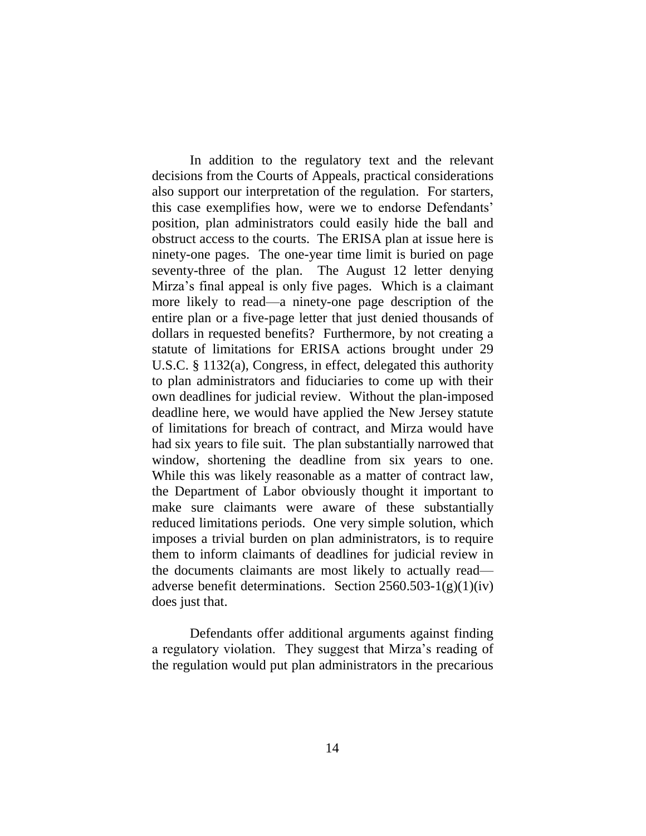In addition to the regulatory text and the relevant decisions from the Courts of Appeals, practical considerations also support our interpretation of the regulation. For starters, this case exemplifies how, were we to endorse Defendants' position, plan administrators could easily hide the ball and obstruct access to the courts. The ERISA plan at issue here is ninety-one pages. The one-year time limit is buried on page seventy-three of the plan. The August 12 letter denying Mirza's final appeal is only five pages. Which is a claimant more likely to read—a ninety-one page description of the entire plan or a five-page letter that just denied thousands of dollars in requested benefits? Furthermore, by not creating a statute of limitations for ERISA actions brought under 29 U.S.C. § 1132(a), Congress, in effect, delegated this authority to plan administrators and fiduciaries to come up with their own deadlines for judicial review. Without the plan-imposed deadline here, we would have applied the New Jersey statute of limitations for breach of contract, and Mirza would have had six years to file suit. The plan substantially narrowed that window, shortening the deadline from six years to one. While this was likely reasonable as a matter of contract law, the Department of Labor obviously thought it important to make sure claimants were aware of these substantially reduced limitations periods. One very simple solution, which imposes a trivial burden on plan administrators, is to require them to inform claimants of deadlines for judicial review in the documents claimants are most likely to actually read adverse benefit determinations. Section  $2560.503 - 1(g)(1)(iv)$ does just that.

Defendants offer additional arguments against finding a regulatory violation. They suggest that Mirza's reading of the regulation would put plan administrators in the precarious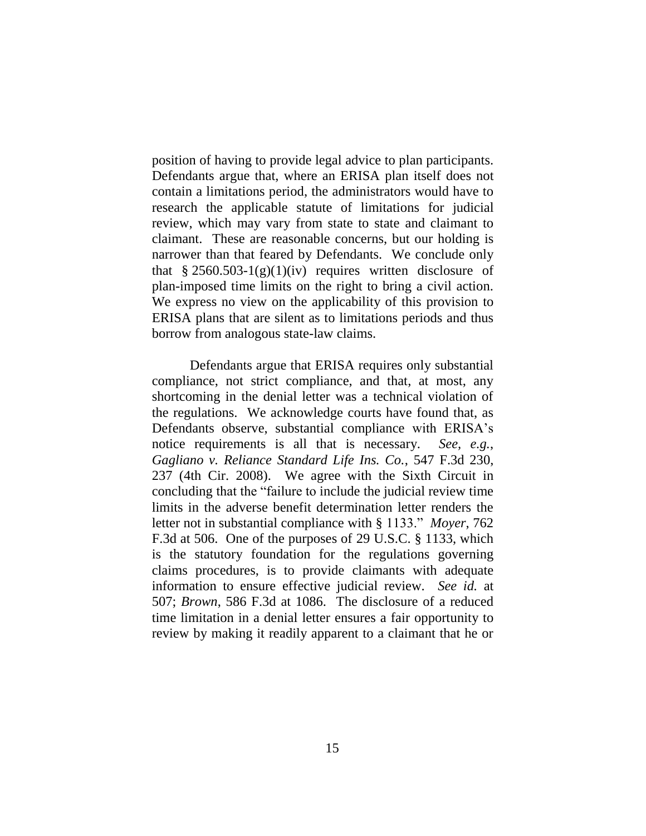position of having to provide legal advice to plan participants. Defendants argue that, where an ERISA plan itself does not contain a limitations period, the administrators would have to research the applicable statute of limitations for judicial review, which may vary from state to state and claimant to claimant. These are reasonable concerns, but our holding is narrower than that feared by Defendants. We conclude only that  $\frac{8}{2560.503}$ -1(g)(1)(iv) requires written disclosure of plan-imposed time limits on the right to bring a civil action. We express no view on the applicability of this provision to ERISA plans that are silent as to limitations periods and thus borrow from analogous state-law claims.

Defendants argue that ERISA requires only substantial compliance, not strict compliance, and that, at most, any shortcoming in the denial letter was a technical violation of the regulations. We acknowledge courts have found that, as Defendants observe, substantial compliance with ERISA's notice requirements is all that is necessary. *See, e.g.*, *Gagliano v. Reliance Standard Life Ins. Co.*, 547 F.3d 230, 237 (4th Cir. 2008). We agree with the Sixth Circuit in concluding that the "failure to include the judicial review time limits in the adverse benefit determination letter renders the letter not in substantial compliance with § 1133." *Moyer*, 762 F.3d at 506. One of the purposes of 29 U.S.C. § 1133, which is the statutory foundation for the regulations governing claims procedures, is to provide claimants with adequate information to ensure effective judicial review. *See id.* at 507; *Brown*, 586 F.3d at 1086. The disclosure of a reduced time limitation in a denial letter ensures a fair opportunity to review by making it readily apparent to a claimant that he or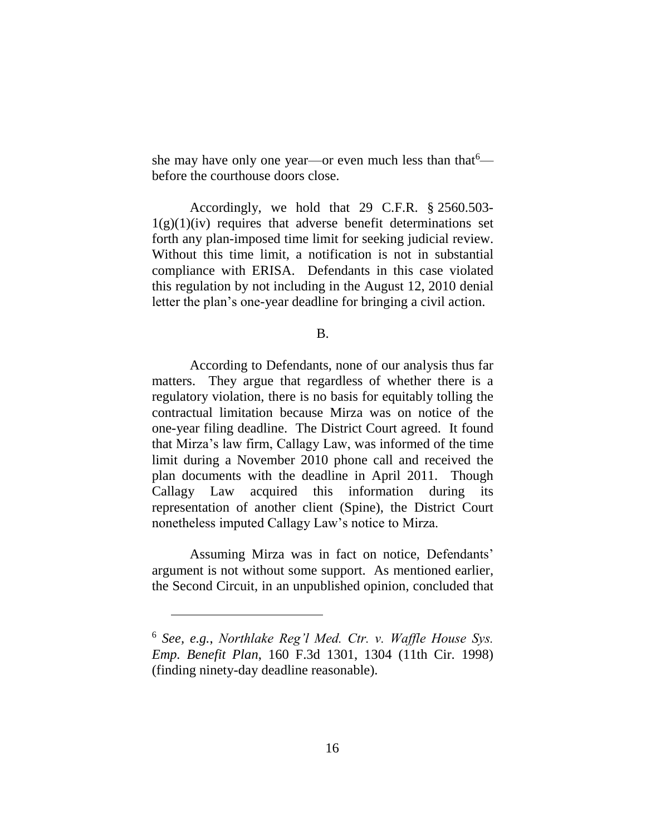she may have only one year—or even much less than that  $\epsilon$  before the courthouse doors close.

Accordingly, we hold that 29 C.F.R. § 2560.503-  $1(g)(1)(iv)$  requires that adverse benefit determinations set forth any plan-imposed time limit for seeking judicial review. Without this time limit, a notification is not in substantial compliance with ERISA. Defendants in this case violated this regulation by not including in the August 12, 2010 denial letter the plan's one-year deadline for bringing a civil action.

B.

According to Defendants, none of our analysis thus far matters. They argue that regardless of whether there is a regulatory violation, there is no basis for equitably tolling the contractual limitation because Mirza was on notice of the one-year filing deadline. The District Court agreed. It found that Mirza's law firm, Callagy Law, was informed of the time limit during a November 2010 phone call and received the plan documents with the deadline in April 2011. Though Callagy Law acquired this information during its representation of another client (Spine), the District Court nonetheless imputed Callagy Law's notice to Mirza.

Assuming Mirza was in fact on notice, Defendants' argument is not without some support. As mentioned earlier, the Second Circuit, in an unpublished opinion, concluded that

<sup>6</sup> *See, e.g.*, *Northlake Reg'l Med. Ctr. v. Waffle House Sys. Emp. Benefit Plan*, 160 F.3d 1301, 1304 (11th Cir. 1998) (finding ninety-day deadline reasonable).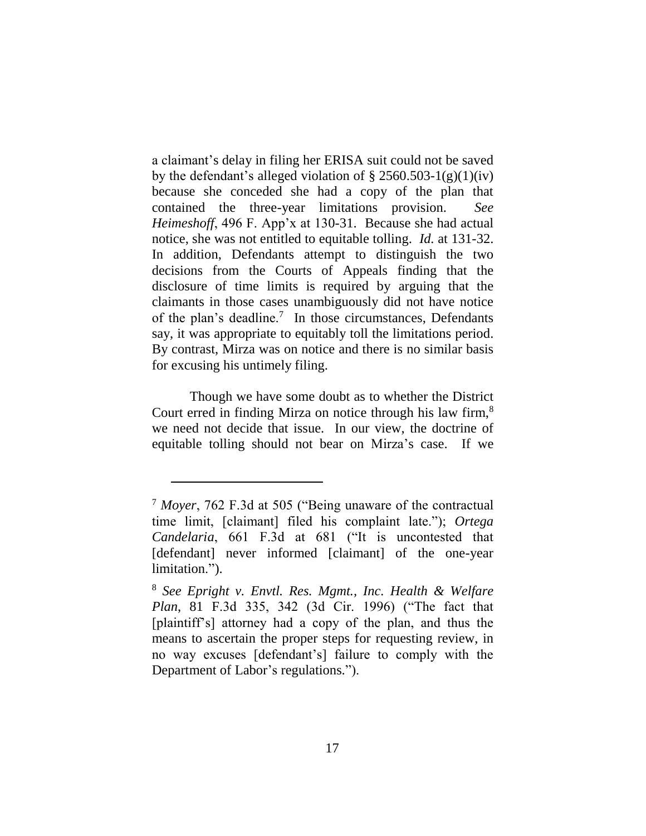a claimant's delay in filing her ERISA suit could not be saved by the defendant's alleged violation of  $\S 2560.503-1(g)(1)(iv)$ because she conceded she had a copy of the plan that contained the three-year limitations provision. *See Heimeshoff*, 496 F. App'x at 130-31. Because she had actual notice, she was not entitled to equitable tolling. *Id.* at 131-32. In addition, Defendants attempt to distinguish the two decisions from the Courts of Appeals finding that the disclosure of time limits is required by arguing that the claimants in those cases unambiguously did not have notice of the plan's deadline.<sup>7</sup> In those circumstances, Defendants say, it was appropriate to equitably toll the limitations period. By contrast, Mirza was on notice and there is no similar basis for excusing his untimely filing.

Though we have some doubt as to whether the District Court erred in finding Mirza on notice through his law firm,<sup>8</sup> we need not decide that issue. In our view, the doctrine of equitable tolling should not bear on Mirza's case. If we

<sup>7</sup> *Moyer*, 762 F.3d at 505 ("Being unaware of the contractual time limit, [claimant] filed his complaint late."); *Ortega Candelaria*, 661 F.3d at 681 ("It is uncontested that [defendant] never informed [claimant] of the one-year limitation.").

<sup>8</sup> *See Epright v. Envtl. Res. Mgmt., Inc. Health & Welfare Plan*, 81 F.3d 335, 342 (3d Cir. 1996) ("The fact that [plaintiff's] attorney had a copy of the plan, and thus the means to ascertain the proper steps for requesting review, in no way excuses [defendant's] failure to comply with the Department of Labor's regulations.").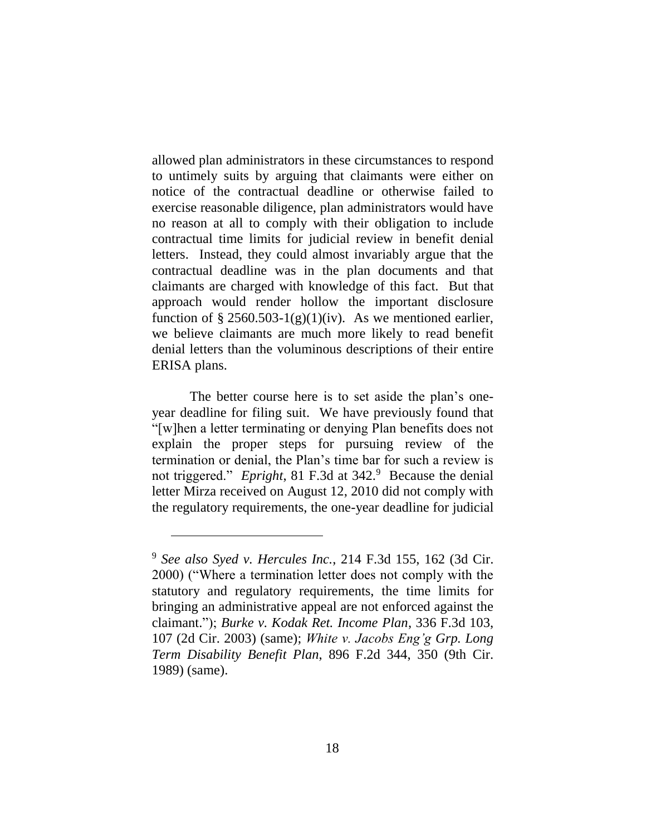allowed plan administrators in these circumstances to respond to untimely suits by arguing that claimants were either on notice of the contractual deadline or otherwise failed to exercise reasonable diligence, plan administrators would have no reason at all to comply with their obligation to include contractual time limits for judicial review in benefit denial letters. Instead, they could almost invariably argue that the contractual deadline was in the plan documents and that claimants are charged with knowledge of this fact. But that approach would render hollow the important disclosure function of  $\S 2560.503-1(g)(1)(iv)$ . As we mentioned earlier, we believe claimants are much more likely to read benefit denial letters than the voluminous descriptions of their entire ERISA plans.

The better course here is to set aside the plan's oneyear deadline for filing suit. We have previously found that "[w]hen a letter terminating or denying Plan benefits does not explain the proper steps for pursuing review of the termination or denial, the Plan's time bar for such a review is not triggered." *Epright*, 81 F.3d at 342.<sup>9</sup> Because the denial letter Mirza received on August 12, 2010 did not comply with the regulatory requirements, the one-year deadline for judicial

<sup>9</sup> *See also Syed v. Hercules Inc.*, 214 F.3d 155, 162 (3d Cir. 2000) ("Where a termination letter does not comply with the statutory and regulatory requirements, the time limits for bringing an administrative appeal are not enforced against the claimant."); *Burke v. Kodak Ret. Income Plan*, 336 F.3d 103, 107 (2d Cir. 2003) (same); *White v. Jacobs Eng'g Grp. Long Term Disability Benefit Plan*, 896 F.2d 344, 350 (9th Cir. 1989) (same).